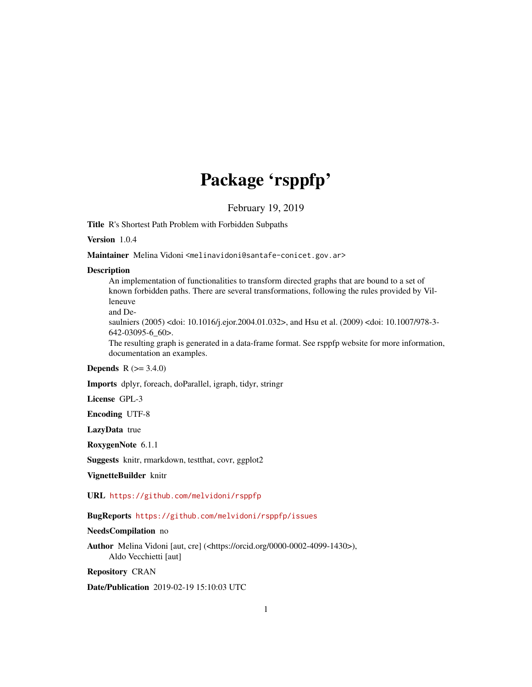## Package 'rsppfp'

February 19, 2019

Title R's Shortest Path Problem with Forbidden Subpaths

Version 1.0.4

Maintainer Melina Vidoni <melinavidoni@santafe-conicet.gov.ar>

#### **Description**

An implementation of functionalities to transform directed graphs that are bound to a set of known forbidden paths. There are several transformations, following the rules provided by Villeneuve

and De-

saulniers (2005) <doi: 10.1016/j.ejor.2004.01.032>, and Hsu et al. (2009) <doi: 10.1007/978-3- 642-03095-6\_60>.

The resulting graph is generated in a data-frame format. See rsppfp website for more information, documentation an examples.

#### **Depends**  $R (= 3.4.0)$

Imports dplyr, foreach, doParallel, igraph, tidyr, stringr

License GPL-3

Encoding UTF-8

LazyData true

RoxygenNote 6.1.1

Suggests knitr, rmarkdown, testthat, covr, ggplot2

VignetteBuilder knitr

URL <https://github.com/melvidoni/rsppfp>

#### BugReports <https://github.com/melvidoni/rsppfp/issues>

#### NeedsCompilation no

Author Melina Vidoni [aut, cre] (<https://orcid.org/0000-0002-4099-1430>), Aldo Vecchietti [aut]

Repository CRAN

Date/Publication 2019-02-19 15:10:03 UTC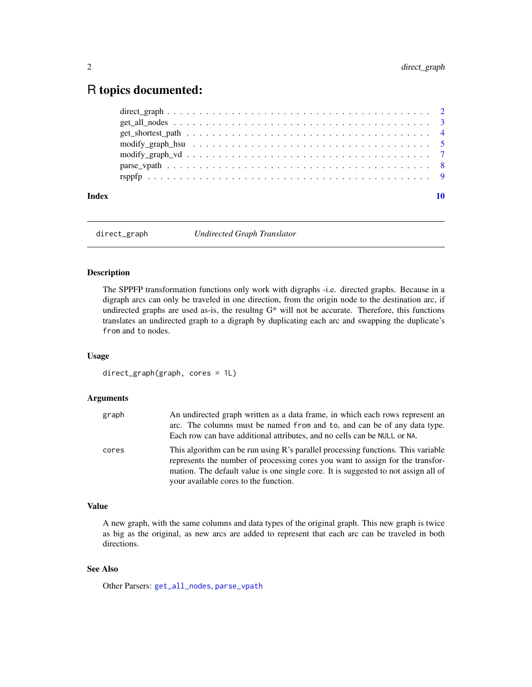### <span id="page-1-0"></span>R topics documented:

| Index | 10 |
|-------|----|
|       |    |
|       |    |
|       |    |
|       |    |
|       |    |
|       |    |
|       |    |

<span id="page-1-1"></span>direct\_graph *Undirected Graph Translator*

#### Description

The SPPFP transformation functions only work with digraphs -i.e. directed graphs. Because in a digraph arcs can only be traveled in one direction, from the origin node to the destination arc, if undirected graphs are used as-is, the resultng G\* will not be accurate. Therefore, this functions translates an undirected graph to a digraph by duplicating each arc and swapping the duplicate's from and to nodes.

#### Usage

direct\_graph(graph, cores = 1L)

#### Arguments

| graph | An undirected graph written as a data frame, in which each rows represent an<br>arc. The columns must be named from and to, and can be of any data type.<br>Each row can have additional attributes, and no cells can be NULL or NA.                                                              |
|-------|---------------------------------------------------------------------------------------------------------------------------------------------------------------------------------------------------------------------------------------------------------------------------------------------------|
| cores | This algorithm can be run using R's parallel processing functions. This variable<br>represents the number of processing cores you want to assign for the transfor-<br>mation. The default value is one single core. It is suggested to not assign all of<br>your available cores to the function. |

#### Value

A new graph, with the same columns and data types of the original graph. This new graph is twice as big as the original, as new arcs are added to represent that each arc can be traveled in both directions.

#### See Also

Other Parsers: [get\\_all\\_nodes](#page-2-1), [parse\\_vpath](#page-7-1)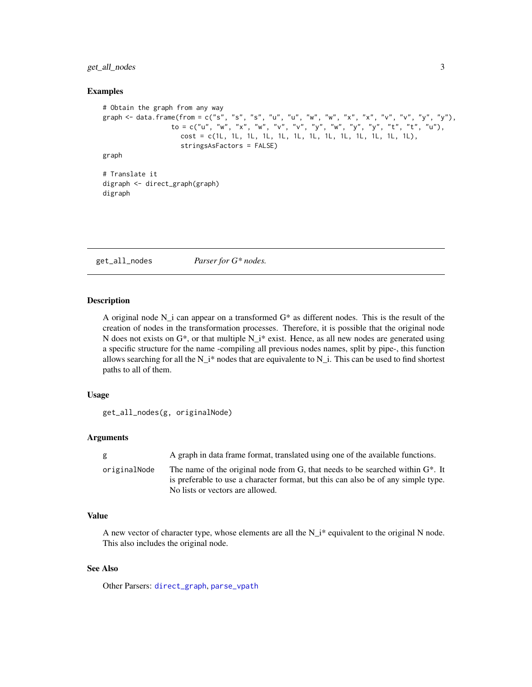<span id="page-2-0"></span>get\_all\_nodes 3

#### Examples

```
# Obtain the graph from any way
graph <- data.frame(from = c("s", "s", "s", "u", "u", "w", "w", "x", "x", "v", "v", "y", "y"),
                  to = c("u", "w", "x", "w", "v", "v", "y", "y", "w", "y", "y", "t", "t", "u","cost = c(1L, 1L, 1L, 1L, 1L, 1L, 1L, 1L, 1L, 1L, 1L, 1L, 1L),
                    stringsAsFactors = FALSE)
graph
# Translate it
digraph <- direct_graph(graph)
digraph
```
<span id="page-2-1"></span>get\_all\_nodes *Parser for G\* nodes.*

#### Description

A original node N\_i can appear on a transformed G\* as different nodes. This is the result of the creation of nodes in the transformation processes. Therefore, it is possible that the original node N does not exists on  $G^*$ , or that multiple  $N_i^*$  exist. Hence, as all new nodes are generated using a specific structure for the name -compiling all previous nodes names, split by pipe-, this function allows searching for all the  $N_i^*$  nodes that are equivalente to  $N_i$ . This can be used to find shortest paths to all of them.

#### Usage

```
get_all_nodes(g, originalNode)
```
#### Arguments

| g            | A graph in data frame format, translated using one of the available functions.                                                                                                                             |
|--------------|------------------------------------------------------------------------------------------------------------------------------------------------------------------------------------------------------------|
| originalNode | The name of the original node from G, that needs to be searched within $G^*$ . It<br>is preferable to use a character format, but this can also be of any simple type.<br>No lists or vectors are allowed. |
|              |                                                                                                                                                                                                            |

#### Value

A new vector of character type, whose elements are all the  $N_i^*$  equivalent to the original N node. This also includes the original node.

#### See Also

Other Parsers: [direct\\_graph](#page-1-1), [parse\\_vpath](#page-7-1)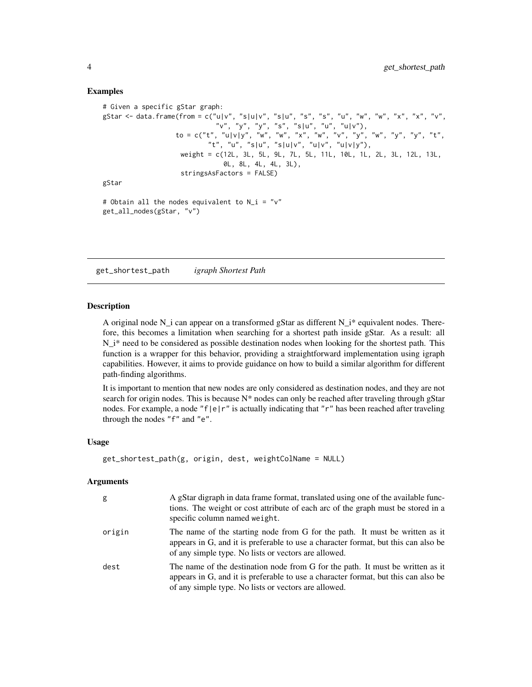#### Examples

```
# Given a specific gStar graph:
gStar <- data.frame(from = c("u|v", "s|u|v", "s|u", "s", "s", "u", "w", "w", "x", "x", "v",
                             "v", "y", "y", "s", "s|u", "u", "u|v"),
                   to = c("t", "u|v|y", "w", "w", "x", "w", "v", "v", "y", "w", "y", "y", "t","t", "u", "s|u", "s|u|v", "u|v", "u|v|y"),
                    weight = c(12L, 3L, 5L, 9L, 7L, 5L, 11L, 10L, 1L, 2L, 3L, 12L, 13L,
                               0L, 8L, 4L, 4L, 3L),
                    stringsAsFactors = FALSE)
gStar
# Obtain all the nodes equivalent to N_i = "v"
```

```
get_all_nodes(gStar, "v")
```
get\_shortest\_path *igraph Shortest Path*

#### **Description**

A original node N i can appear on a transformed gStar as different N i<sup>\*</sup> equivalent nodes. Therefore, this becomes a limitation when searching for a shortest path inside gStar. As a result: all  $N_i^*$  need to be considered as possible destination nodes when looking for the shortest path. This function is a wrapper for this behavior, providing a straightforward implementation using igraph capabilities. However, it aims to provide guidance on how to build a similar algorithm for different path-finding algorithms.

It is important to mention that new nodes are only considered as destination nodes, and they are not search for origin nodes. This is because  $N^*$  nodes can only be reached after traveling through gStar nodes. For example, a node "f|e|r" is actually indicating that "r" has been reached after traveling through the nodes "f" and "e".

#### Usage

```
get_shortest_path(g, origin, dest, weightColName = NULL)
```
#### Arguments

| g      | A gStar digraph in data frame format, translated using one of the available func-<br>tions. The weight or cost attribute of each arc of the graph must be stored in a<br>specific column named weight.                       |
|--------|------------------------------------------------------------------------------------------------------------------------------------------------------------------------------------------------------------------------------|
| origin | The name of the starting node from G for the path. It must be written as it<br>appears in G, and it is preferable to use a character format, but this can also be<br>of any simple type. No lists or vectors are allowed.    |
| dest   | The name of the destination node from G for the path. It must be written as it<br>appears in G, and it is preferable to use a character format, but this can also be<br>of any simple type. No lists or vectors are allowed. |

<span id="page-3-0"></span>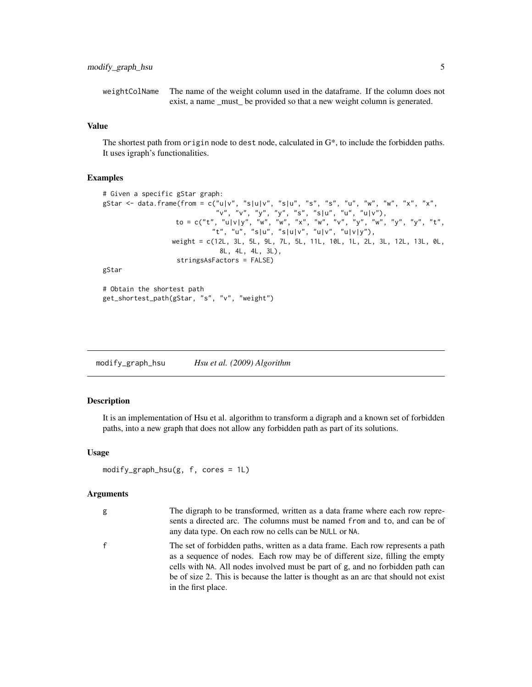<span id="page-4-0"></span>weightColName The name of the weight column used in the dataframe. If the column does not exist, a name \_must\_ be provided so that a new weight column is generated.

#### Value

The shortest path from origin node to dest node, calculated in G\*, to include the forbidden paths. It uses igraph's functionalities.

#### Examples

```
# Given a specific gStar graph:
gStar <- data.frame(from = c("u|v", "s|u|v", "s|u", "s", "s", "u", "w", "w", "x", "x",
                              "v", "v", "y", "y", "s", "s|u", "u", "u|v"),
                   to = c("t", "u|v|y", "w", "w", "x", "w", "v", "v", "y", "w", "y", "y", "y", "t","t", "u", "s|u", "s|u|v", "u|v", "u|v|y"),
                  weight = c(12L, 3L, 5L, 9L, 7L, 5L, 11L, 10L, 1L, 2L, 3L, 12L, 13L, 0L,
                               8L, 4L, 4L, 3L),
                   stringsAsFactors = FALSE)
gStar
```

```
# Obtain the shortest path
get_shortest_path(gStar, "s", "v", "weight")
```
<span id="page-4-1"></span>

| modify_graph_hsu | Hsu et al. (2009) Algorithm |  |
|------------------|-----------------------------|--|
|                  |                             |  |

#### Description

It is an implementation of Hsu et al. algorithm to transform a digraph and a known set of forbidden paths, into a new graph that does not allow any forbidden path as part of its solutions.

#### Usage

```
modify_graph_hsu(g, f, cores = 1L)
```
#### Arguments

| g | The digraph to be transformed, written as a data frame where each row repre-                                   |
|---|----------------------------------------------------------------------------------------------------------------|
|   | sents a directed arc. The columns must be named from and to, and can be of                                     |
|   | any data type. On each row no cells can be NULL or NA.                                                         |
|   | m eciti a will a film a model of the model of the model of the model of the model of the model of the model of |

f The set of forbidden paths, written as a data frame. Each row represents a path as a sequence of nodes. Each row may be of different size, filling the empty cells with NA. All nodes involved must be part of g, and no forbidden path can be of size 2. This is because the latter is thought as an arc that should not exist in the first place.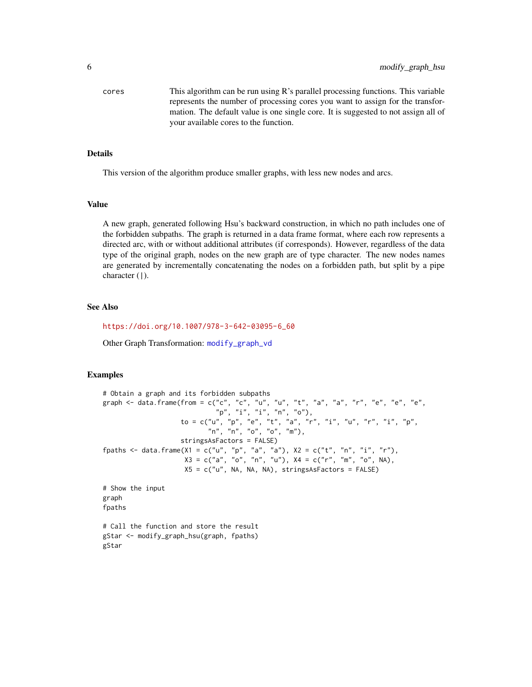<span id="page-5-0"></span>cores This algorithm can be run using R's parallel processing functions. This variable represents the number of processing cores you want to assign for the transformation. The default value is one single core. It is suggested to not assign all of your available cores to the function.

#### Details

This version of the algorithm produce smaller graphs, with less new nodes and arcs.

#### Value

A new graph, generated following Hsu's backward construction, in which no path includes one of the forbidden subpaths. The graph is returned in a data frame format, where each row represents a directed arc, with or without additional attributes (if corresponds). However, regardless of the data type of the original graph, nodes on the new graph are of type character. The new nodes names are generated by incrementally concatenating the nodes on a forbidden path, but split by a pipe character (|).

#### See Also

[https://doi.org/10.1007/978-3-642-03095-6\\_60](https://doi.org/10.1007/978-3-642-03095-6_60)

Other Graph Transformation: [modify\\_graph\\_vd](#page-6-1)

#### Examples

```
# Obtain a graph and its forbidden subpaths
graph <- data.frame(from = c("c", "c", "u", "u", "t", "a", "a", "r", "e", "e", "e", "e",
                             "p", "i", "i", "n", "o"),
                    to = c("u", "p", "e", "t", "a", "r", "i", "u", "r", "i", "p",
                           "n", "n", "o", "o", "m"),
                    stringsAsFactors = FALSE)
fpaths <- data.frame(X1 = c("u", "p", "a", "a"), X2 = c("t", "n", "i", "r"),
                     X3 = c("a", "o", "n", "u"), X4 = c("r", "m", "o", NA),X5 = c("u", NA, NA, NA), stringsAsFactors = FALSE)
# Show the input
graph
fpaths
# Call the function and store the result
gStar <- modify_graph_hsu(graph, fpaths)
gStar
```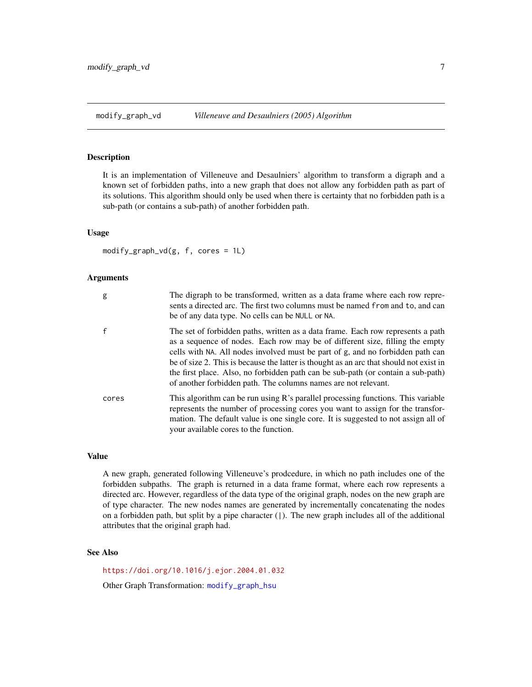#### <span id="page-6-1"></span><span id="page-6-0"></span>Description

It is an implementation of Villeneuve and Desaulniers' algorithm to transform a digraph and a known set of forbidden paths, into a new graph that does not allow any forbidden path as part of its solutions. This algorithm should only be used when there is certainty that no forbidden path is a sub-path (or contains a sub-path) of another forbidden path.

#### Usage

 $modify\_graph\_vd(g, f, cores = 1L)$ 

#### Arguments

| g            | The digraph to be transformed, written as a data frame where each row repre-<br>sents a directed arc. The first two columns must be named from and to, and can<br>be of any data type. No cells can be NULL or NA.                                                                                                                                                                                                                                                                                |
|--------------|---------------------------------------------------------------------------------------------------------------------------------------------------------------------------------------------------------------------------------------------------------------------------------------------------------------------------------------------------------------------------------------------------------------------------------------------------------------------------------------------------|
| $\mathsf{f}$ | The set of forbidden paths, written as a data frame. Each row represents a path<br>as a sequence of nodes. Each row may be of different size, filling the empty<br>cells with NA. All nodes involved must be part of g, and no forbidden path can<br>be of size 2. This is because the latter is thought as an arc that should not exist in<br>the first place. Also, no forbidden path can be sub-path (or contain a sub-path)<br>of another forbidden path. The columns names are not relevant. |
| cores        | This algorithm can be run using R's parallel processing functions. This variable<br>represents the number of processing cores you want to assign for the transfor-<br>mation. The default value is one single core. It is suggested to not assign all of<br>your available cores to the function.                                                                                                                                                                                                 |

#### Value

A new graph, generated following Villeneuve's prodcedure, in which no path includes one of the forbidden subpaths. The graph is returned in a data frame format, where each row represents a directed arc. However, regardless of the data type of the original graph, nodes on the new graph are of type character. The new nodes names are generated by incrementally concatenating the nodes on a forbidden path, but split by a pipe character (|). The new graph includes all of the additional attributes that the original graph had.

#### See Also

<https://doi.org/10.1016/j.ejor.2004.01.032>

Other Graph Transformation: [modify\\_graph\\_hsu](#page-4-1)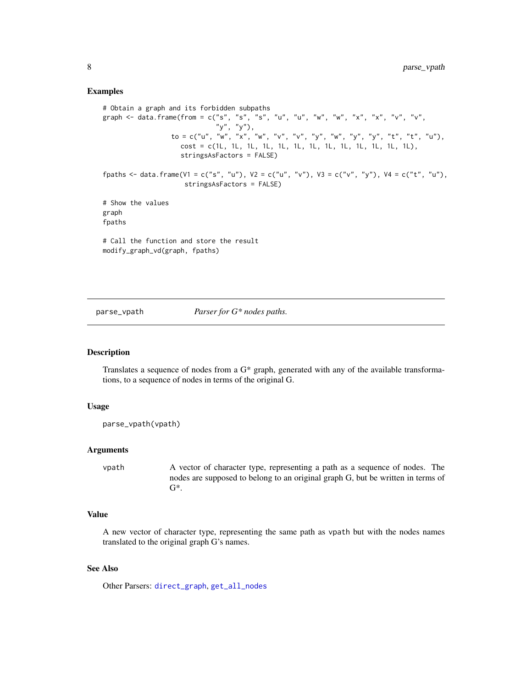#### Examples

```
# Obtain a graph and its forbidden subpaths
graph <- data.frame(from = c("s", "s", "s", "u", "u", "w", "w", "x", "x", "v", "v",
                              "y", "y"),
                  to = c("u", "w", "x", "w", "v", "v", "v", "y", "w", "y", "y", "y", "t", "t", "t", "u",cost = c(1L, 1L, 1L, 1L, 1L, 1L, 1L, 1L, 1L, 1L, 1L, 1L, 1L),
                     stringsAsFactors = FALSE)
fpaths <- data.frame(V1 = c("s", "u"), V2 = c("u", "v"), V3 = c("v", "y"), V4 = c("t", "u"),
                     stringsAsFactors = FALSE)
# Show the values
graph
fpaths
# Call the function and store the result
modify_graph_vd(graph, fpaths)
```
<span id="page-7-1"></span>

parse\_vpath *Parser for G\* nodes paths.*

#### Description

Translates a sequence of nodes from a G\* graph, generated with any of the available transformations, to a sequence of nodes in terms of the original G.

#### Usage

```
parse_vpath(vpath)
```
#### Arguments

vpath A vector of character type, representing a path as a sequence of nodes. The nodes are supposed to belong to an original graph G, but be written in terms of  $G^*$ .

#### Value

A new vector of character type, representing the same path as vpath but with the nodes names translated to the original graph G's names.

#### See Also

Other Parsers: [direct\\_graph](#page-1-1), [get\\_all\\_nodes](#page-2-1)

<span id="page-7-0"></span>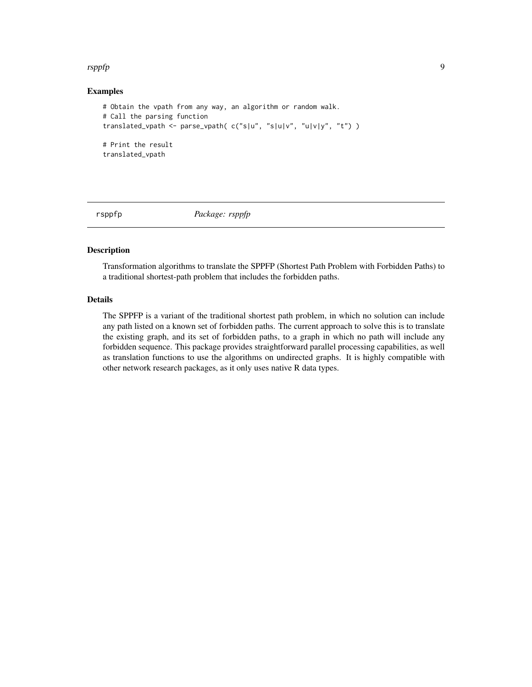#### <span id="page-8-0"></span>rsppfp $\,$

#### Examples

```
# Obtain the vpath from any way, an algorithm or random walk.
# Call the parsing function
translated_vpath <- parse_vpath( c("s|u", "s|u|v", "u|v|y", "t") )
# Print the result
translated_vpath
```
rsppfp *Package: rsppfp*

#### Description

Transformation algorithms to translate the SPPFP (Shortest Path Problem with Forbidden Paths) to a traditional shortest-path problem that includes the forbidden paths.

#### Details

The SPPFP is a variant of the traditional shortest path problem, in which no solution can include any path listed on a known set of forbidden paths. The current approach to solve this is to translate the existing graph, and its set of forbidden paths, to a graph in which no path will include any forbidden sequence. This package provides straightforward parallel processing capabilities, as well as translation functions to use the algorithms on undirected graphs. It is highly compatible with other network research packages, as it only uses native R data types.